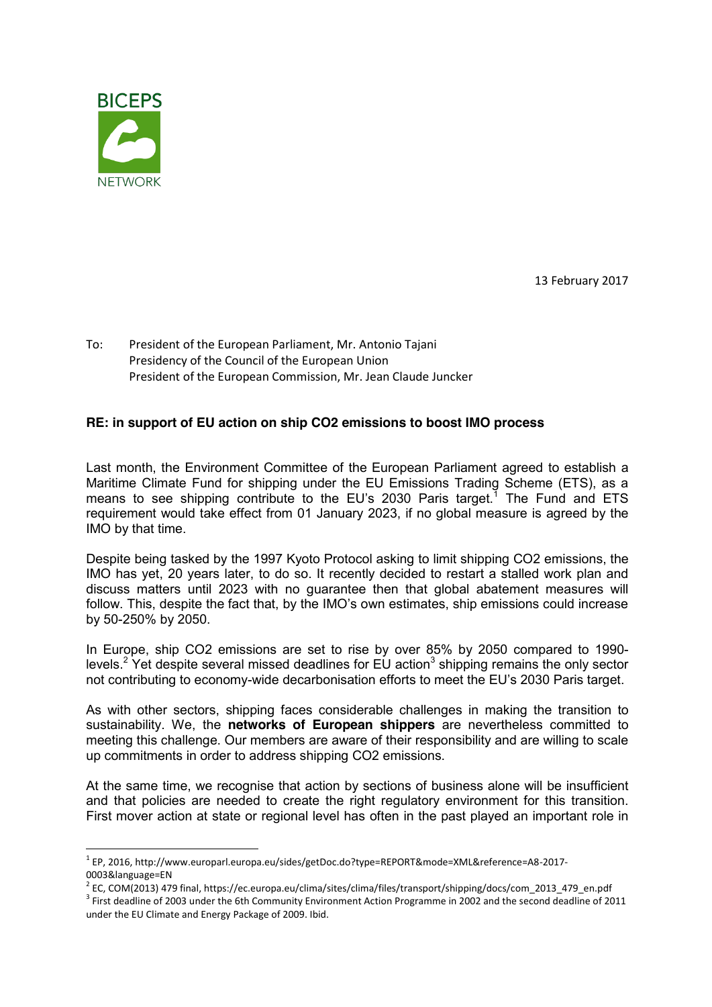

13 February 2017

To: President of the European Parliament, Mr. Antonio Tajani Presidency of the Council of the European Union President of the European Commission, Mr. Jean Claude Juncker

## **RE: in support of EU action on ship CO2 emissions to boost IMO process**

Last month, the Environment Committee of the European Parliament agreed to establish a Maritime Climate Fund for shipping under the EU Emissions Trading Scheme (ETS), as a means to see shipping contribute to the EU's 2030 Paris target.<sup>1</sup> The Fund and ETS requirement would take effect from 01 January 2023, if no global measure is agreed by the IMO by that time.

Despite being tasked by the 1997 Kyoto Protocol asking to limit shipping CO2 emissions, the IMO has yet, 20 years later, to do so. It recently decided to restart a stalled work plan and discuss matters until 2023 with no guarantee then that global abatement measures will follow. This, despite the fact that, by the IMO's own estimates, ship emissions could increase by 50-250% by 2050.

In Europe, ship CO2 emissions are set to rise by over 85% by 2050 compared to 1990 levels.<sup>2</sup> Yet despite several missed deadlines for EU action<sup>3</sup> shipping remains the only sector not contributing to economy-wide decarbonisation efforts to meet the EU's 2030 Paris target.

As with other sectors, shipping faces considerable challenges in making the transition to sustainability. We, the **networks of European shippers** are nevertheless committed to meeting this challenge. Our members are aware of their responsibility and are willing to scale up commitments in order to address shipping CO2 emissions.

At the same time, we recognise that action by sections of business alone will be insufficient and that policies are needed to create the right regulatory environment for this transition. First mover action at state or regional level has often in the past played an important role in

 <sup>1</sup> EP, 2016, http://www.europarl.europa.eu/sides/getDoc.do?type=REPORT&mode=XML&reference=A8-2017-

<sup>0003&</sup>amp;language=EN<br><sup>2</sup> EC, COM(2013) 479 final, https://ec.europa.eu/clima/sites/clima/files/transport/shipping/docs/com\_2013\_479\_en.pdf

<sup>&</sup>lt;sup>3</sup> First deadline of 2003 under the 6th Community Environment Action Programme in 2002 and the second deadline of 2011 under the EU Climate and Energy Package of 2009. Ibid.